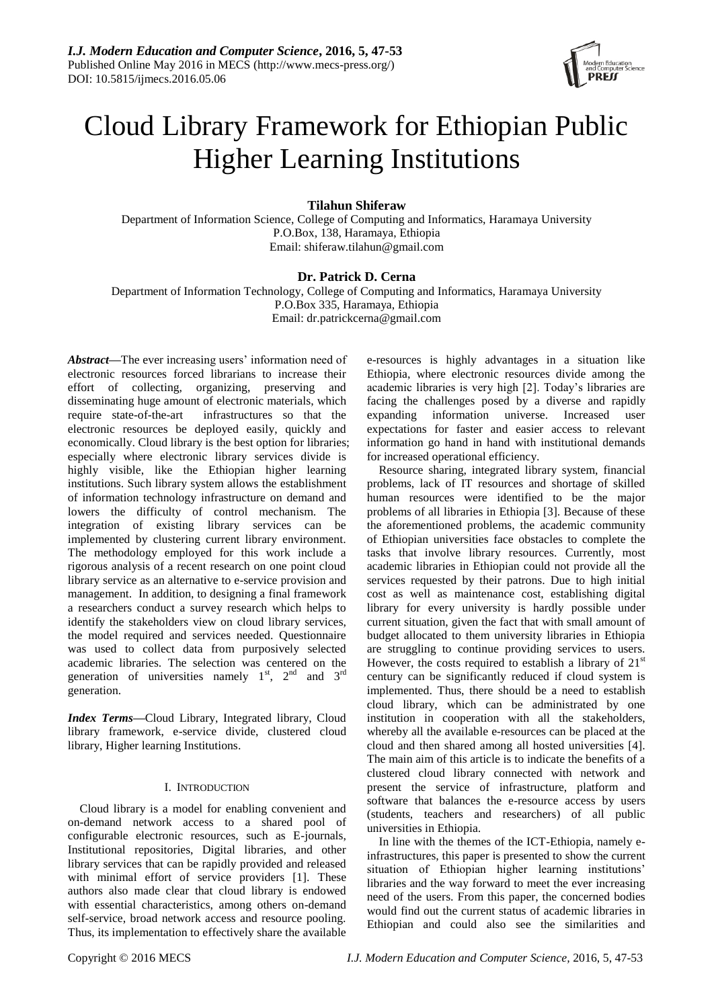

# Cloud Library Framework for Ethiopian Public Higher Learning Institutions

# **Tilahun Shiferaw**

Department of Information Science, College of Computing and Informatics, Haramaya University P.O.Box, 138, Haramaya, Ethiopia Email: shiferaw.tilahun@gmail.com

# **Dr. Patrick D. Cerna**

Department of Information Technology, College of Computing and Informatics, Haramaya University P.O.Box 335, Haramaya, Ethiopia Email: dr.patrickcerna@gmail.com

*Abstract***—**The ever increasing users' information need of electronic resources forced librarians to increase their effort of collecting, organizing, preserving and disseminating huge amount of electronic materials, which require state-of-the-art infrastructures so that the electronic resources be deployed easily, quickly and economically. Cloud library is the best option for libraries; especially where electronic library services divide is highly visible, like the Ethiopian higher learning institutions. Such library system allows the establishment of information technology infrastructure on demand and lowers the difficulty of control mechanism. The integration of existing library services can be implemented by clustering current library environment. The methodology employed for this work include a rigorous analysis of a recent research on one point cloud library service as an alternative to e-service provision and management. In addition, to designing a final framework a researchers conduct a survey research which helps to identify the stakeholders view on cloud library services, the model required and services needed. Questionnaire was used to collect data from purposively selected academic libraries. The selection was centered on the generation of universities namely  $1<sup>st</sup>$ ,  $2<sup>nd</sup>$  and  $3<sup>rd</sup>$ generation.

*Index Terms***—**Cloud Library, Integrated library, Cloud library framework, e-service divide, clustered cloud library, Higher learning Institutions.

## I. INTRODUCTION

Cloud library is a model for enabling convenient and on-demand network access to a shared pool of configurable electronic resources, such as E-journals, Institutional repositories, Digital libraries, and other library services that can be rapidly provided and released with minimal effort of service providers [1]. These authors also made clear that cloud library is endowed with essential characteristics, among others on-demand self-service, broad network access and resource pooling. Thus, its implementation to effectively share the available

e-resources is highly advantages in a situation like Ethiopia, where electronic resources divide among the academic libraries is very high [2]. Today's libraries are facing the challenges posed by a diverse and rapidly expanding information universe. Increased user expectations for faster and easier access to relevant information go hand in hand with institutional demands for increased operational efficiency.

Resource sharing, integrated library system, financial problems, lack of IT resources and shortage of skilled human resources were identified to be the major problems of all libraries in Ethiopia [3]. Because of these the aforementioned problems, the academic community of Ethiopian universities face obstacles to complete the tasks that involve library resources. Currently, most academic libraries in Ethiopian could not provide all the services requested by their patrons. Due to high initial cost as well as maintenance cost, establishing digital library for every university is hardly possible under current situation, given the fact that with small amount of budget allocated to them university libraries in Ethiopia are struggling to continue providing services to users. However, the costs required to establish a library of  $21<sup>st</sup>$ century can be significantly reduced if cloud system is implemented. Thus, there should be a need to establish cloud library, which can be administrated by one institution in cooperation with all the stakeholders, whereby all the available e-resources can be placed at the cloud and then shared among all hosted universities [4]. The main aim of this article is to indicate the benefits of a clustered cloud library connected with network and present the service of infrastructure, platform and software that balances the e-resource access by users (students, teachers and researchers) of all public universities in Ethiopia.

In line with the themes of the ICT-Ethiopia, namely einfrastructures, this paper is presented to show the current situation of Ethiopian higher learning institutions' libraries and the way forward to meet the ever increasing need of the users. From this paper, the concerned bodies would find out the current status of academic libraries in Ethiopian and could also see the similarities and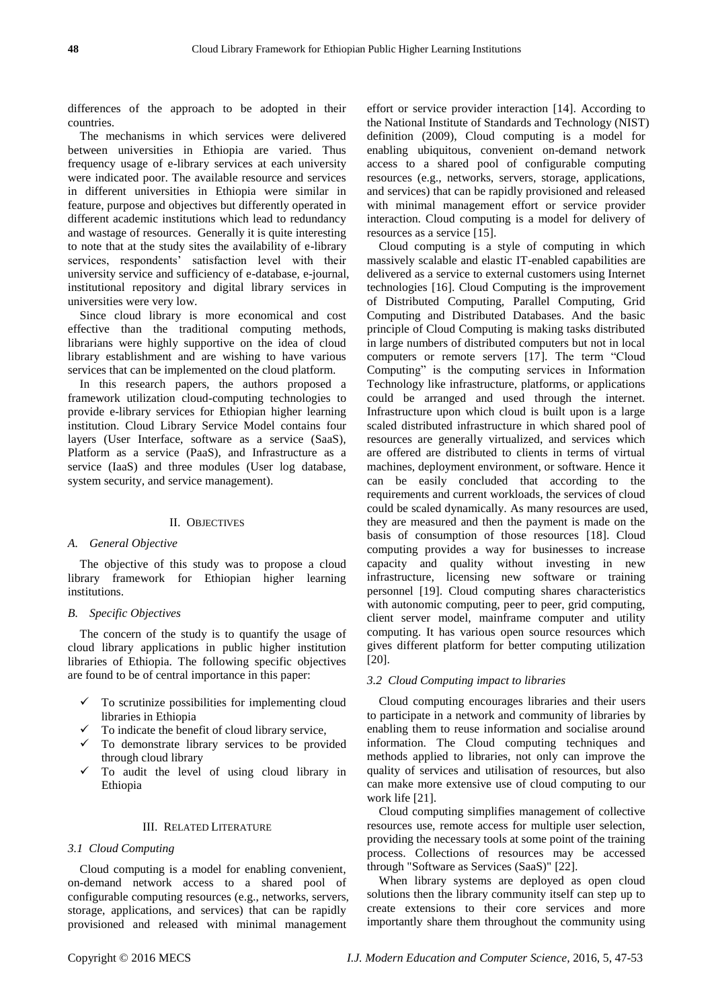differences of the approach to be adopted in their countries.

The mechanisms in which services were delivered between universities in Ethiopia are varied. Thus frequency usage of e-library services at each university were indicated poor. The available resource and services in different universities in Ethiopia were similar in feature, purpose and objectives but differently operated in different academic institutions which lead to redundancy and wastage of resources. Generally it is quite interesting to note that at the study sites the availability of e-library services, respondents' satisfaction level with their university service and sufficiency of e-database, e-journal, institutional repository and digital library services in universities were very low.

Since cloud library is more economical and cost effective than the traditional computing methods, librarians were highly supportive on the idea of cloud library establishment and are wishing to have various services that can be implemented on the cloud platform.

In this research papers, the authors proposed a framework utilization cloud-computing technologies to provide e-library services for Ethiopian higher learning institution. Cloud Library Service Model contains four layers (User Interface, software as a service (SaaS), Platform as a service (PaaS), and Infrastructure as a service (IaaS) and three modules (User log database, system security, and service management).

## II. OBJECTIVES

## *A. General Objective*

The objective of this study was to propose a cloud library framework for Ethiopian higher learning institutions.

## *B. Specific Objectives*

The concern of the study is to quantify the usage of cloud library applications in public higher institution libraries of Ethiopia. The following specific objectives are found to be of central importance in this paper:

- To scrutinize possibilities for implementing cloud libraries in Ethiopia
- To indicate the benefit of cloud library service,
- $\checkmark$  To demonstrate library services to be provided through cloud library
- To audit the level of using cloud library in Ethiopia

## III. RELATED LITERATURE

## *3.1 Cloud Computing*

Cloud computing is a model for enabling convenient, on-demand network access to a shared pool of configurable computing resources (e.g., networks, servers, storage, applications, and services) that can be rapidly provisioned and released with minimal management

effort or service provider interaction [14]. According to the National Institute of Standards and Technology (NIST) definition (2009), Cloud computing is a model for enabling ubiquitous, convenient on-demand network access to a shared pool of configurable computing resources (e.g., networks, servers, storage, applications, and services) that can be rapidly provisioned and released with minimal management effort or service provider interaction. Cloud computing is a model for delivery of resources as a service [15].

Cloud computing is a style of computing in which massively scalable and elastic IT-enabled capabilities are delivered as a service to external customers using Internet technologies [16]. Cloud Computing is the improvement of Distributed Computing, Parallel Computing, Grid Computing and Distributed Databases. And the basic principle of Cloud Computing is making tasks distributed in large numbers of distributed computers but not in local computers or remote servers [17]. The term "Cloud Computing" is the computing services in Information Technology like infrastructure, platforms, or applications could be arranged and used through the internet. Infrastructure upon which cloud is built upon is a large scaled distributed infrastructure in which shared pool of resources are generally virtualized, and services which are offered are distributed to clients in terms of virtual machines, deployment environment, or software. Hence it can be easily concluded that according to the requirements and current workloads, the services of cloud could be scaled dynamically. As many resources are used, they are measured and then the payment is made on the basis of consumption of those resources [18]. Cloud computing provides a way for businesses to increase capacity and quality without investing in new infrastructure, licensing new software or training personnel [19]. Cloud computing shares characteristics with autonomic computing, peer to peer, grid computing, client server model, mainframe computer and utility computing. It has various open source resources which gives different platform for better computing utilization [20].

## *3.2 Cloud Computing impact to libraries*

Cloud computing encourages libraries and their users to participate in a network and community of libraries by enabling them to reuse information and socialise around information. The Cloud computing techniques and methods applied to libraries, not only can improve the quality of services and utilisation of resources, but also can make more extensive use of cloud computing to our work life [21].

Cloud computing simplifies management of collective resources use, remote access for multiple user selection, providing the necessary tools at some point of the training process. Collections of resources may be accessed through "Software as Services (SaaS)" [22].

When library systems are deployed as open cloud solutions then the library community itself can step up to create extensions to their core services and more importantly share them throughout the community using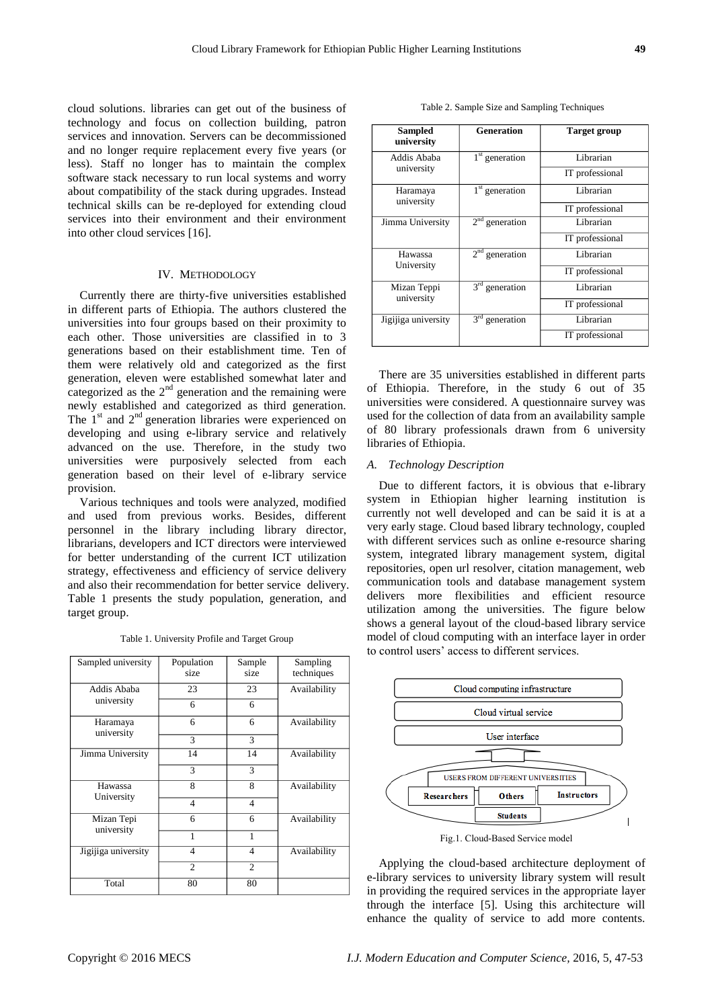cloud solutions. libraries can get out of the business of technology and focus on collection building, patron services and innovation. Servers can be decommissioned and no longer require replacement every five years (or less). Staff no longer has to maintain the complex software stack necessary to run local systems and worry about compatibility of the stack during upgrades. Instead technical skills can be re-deployed for extending cloud services into their environment and their environment into other cloud services [16].

#### IV. METHODOLOGY

Currently there are thirty-five universities established in different parts of Ethiopia. The authors clustered the universities into four groups based on their proximity to each other. Those universities are classified in to 3 generations based on their establishment time. Ten of them were relatively old and categorized as the first generation, eleven were established somewhat later and categorized as the  $2<sup>nd</sup>$  generation and the remaining were newly established and categorized as third generation. The  $1<sup>st</sup>$  and  $2<sup>nd</sup>$  generation libraries were experienced on developing and using e-library service and relatively advanced on the use. Therefore, in the study two universities were purposively selected from each generation based on their level of e-library service provision.

Various techniques and tools were analyzed, modified and used from previous works. Besides, different personnel in the library including library director, librarians, developers and ICT directors were interviewed for better understanding of the current ICT utilization strategy, effectiveness and efficiency of service delivery and also their recommendation for better service delivery. Table 1 presents the study population, generation, and target group.

| Sampled university        | Population<br>size | Sample<br>size | Sampling<br>techniques |
|---------------------------|--------------------|----------------|------------------------|
| Addis Ababa<br>university | 23                 | 23             | Availability           |
|                           | 6                  | 6              |                        |
| Haramaya<br>university    | 6                  | 6              | Availability           |
|                           | 3                  | 3              |                        |
| Jimma University          | 14                 | 14             | Availability           |
|                           | 3                  | 3              |                        |
| Hawassa<br>University     | 8                  | 8              | Availability           |
|                           | $\overline{4}$     | $\overline{4}$ |                        |
| Mizan Tepi<br>university  | 6                  | 6              | Availability           |
|                           | 1                  | 1              |                        |
| Jigijiga university       | 4                  | 4              | Availability           |
|                           | $\overline{2}$     | $\overline{c}$ |                        |
| Total                     | 80                 | 80             |                        |

|  |  | Table 2. Sample Size and Sampling Techniques |
|--|--|----------------------------------------------|
|  |  |                                              |

| Sampled<br>university     | <b>Generation</b> | Target group    |
|---------------------------|-------------------|-----------------|
| Addis Ababa<br>university | $1st$ generation  | Librarian       |
|                           |                   | IT professional |
| Haramaya<br>university    | $1st$ generation  | Librarian       |
|                           |                   | IT professional |
| Jimma University          | $2nd$ generation  | Librarian       |
|                           |                   | IT professional |
| Hawassa                   | $2nd$ generation  | Librarian       |
| University                |                   | IT professional |
| Mizan Teppi<br>university | $3rd$ generation  | Librarian       |
|                           |                   | IT professional |
| Jigijiga university       | $3rd$ generation  | Librarian       |
|                           |                   | IT professional |

There are 35 universities established in different parts of Ethiopia. Therefore, in the study 6 out of 35 universities were considered. A questionnaire survey was used for the collection of data from an availability sample of 80 library professionals drawn from 6 university libraries of Ethiopia.

## *A. Technology Description*

Due to different factors, it is obvious that e-library system in Ethiopian higher learning institution is currently not well developed and can be said it is at a very early stage. Cloud based library technology, coupled with different services such as online e-resource sharing system, integrated library management system, digital repositories, open url resolver, citation management, web communication tools and database management system delivers more flexibilities and efficient resource utilization among the universities. The figure below shows a general layout of the cloud-based library service model of cloud computing with an interface layer in order to control users' access to different services.



Fig.1. Cloud-Based Service model

Applying the cloud-based architecture deployment of e-library services to university library system will result in providing the required services in the appropriate layer through the interface [5]. Using this architecture will enhance the quality of service to add more contents.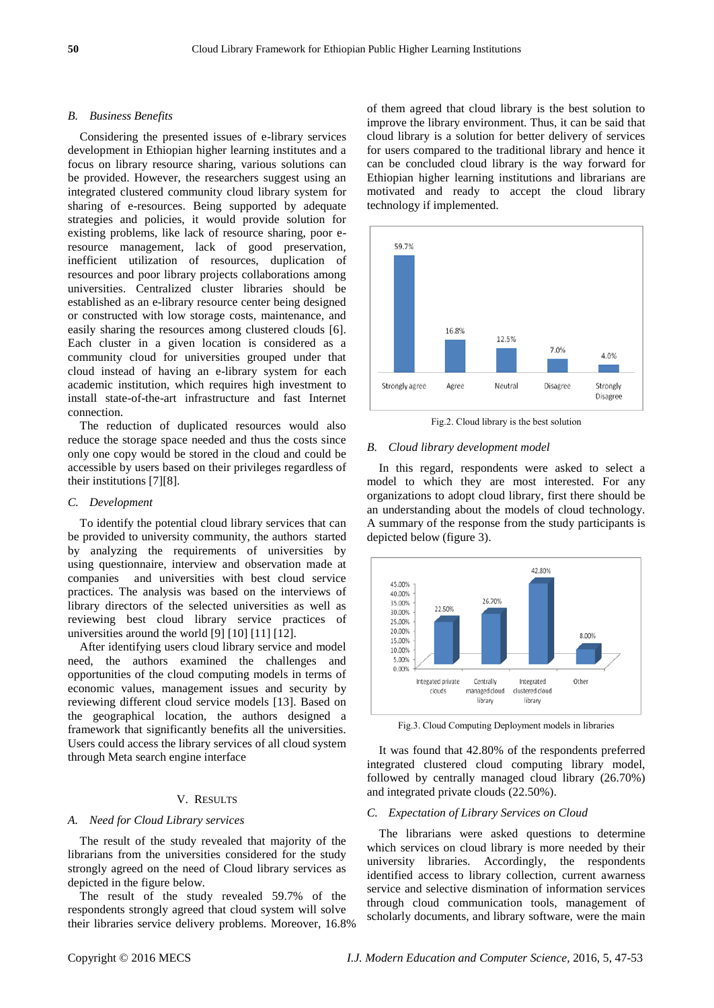#### *B. Business Benefits*

Considering the presented issues of e-library services development in Ethiopian higher learning institutes and a focus on library resource sharing, various solutions can be provided. However, the researchers suggest using an integrated clustered community cloud library system for sharing of e-resources. Being supported by adequate strategies and policies, it would provide solution for existing problems, like lack of resource sharing, poor eresource management, lack of good preservation, inefficient utilization of resources, duplication of resources and poor library projects collaborations among universities. Centralized cluster libraries should be established as an e-library resource center being designed or constructed with low storage costs, maintenance, and easily sharing the resources among clustered clouds [6]. Each cluster in a given location is considered as a community cloud for universities grouped under that cloud instead of having an e-library system for each academic institution, which requires high investment to install state-of-the-art infrastructure and fast Internet connection.

The reduction of duplicated resources would also reduce the storage space needed and thus the costs since only one copy would be stored in the cloud and could be accessible by users based on their privileges regardless of their institutions [7][8].

## *C. Development*

To identify the potential cloud library services that can be provided to university community, the authors started by analyzing the requirements of universities by using questionnaire, interview and observation made at companies and universities with best cloud service practices. The analysis was based on the interviews of library directors of the selected universities as well as reviewing best cloud library service practices of universities around the world [9] [10] [11] [12].

After identifying users cloud library service and model need, the authors examined the challenges and opportunities of the cloud computing models in terms of economic values, management issues and security by reviewing different cloud service models [13]. Based on the geographical location, the authors designed a framework that significantly benefits all the universities. Users could access the library services of all cloud system through Meta search engine interface

## V. RESULTS

## *A. Need for Cloud Library services*

The result of the study revealed that majority of the librarians from the universities considered for the study strongly agreed on the need of Cloud library services as depicted in the figure below.

The result of the study revealed 59.7% of the respondents strongly agreed that cloud system will solve their libraries service delivery problems. Moreover, 16.8% of them agreed that cloud library is the best solution to improve the library environment. Thus, it can be said that cloud library is a solution for better delivery of services for users compared to the traditional library and hence it can be concluded cloud library is the way forward for Ethiopian higher learning institutions and librarians are motivated and ready to accept the cloud library technology if implemented.



Fig.2. Cloud library is the best solution

#### *B. Cloud library development model*

In this regard, respondents were asked to select a model to which they are most interested. For any organizations to adopt cloud library, first there should be an understanding about the models of cloud technology. A summary of the response from the study participants is depicted below (figure 3).



Fig.3. Cloud Computing Deployment models in libraries

It was found that 42.80% of the respondents preferred integrated clustered cloud computing library model, followed by centrally managed cloud library (26.70%) and integrated private clouds (22.50%).

## *C. Expectation of Library Services on Cloud*

The librarians were asked questions to determine which services on cloud library is more needed by their university libraries. Accordingly, the respondents identified access to library collection, current awarness service and selective dismination of information services through cloud communication tools, management of scholarly documents, and library software, were the main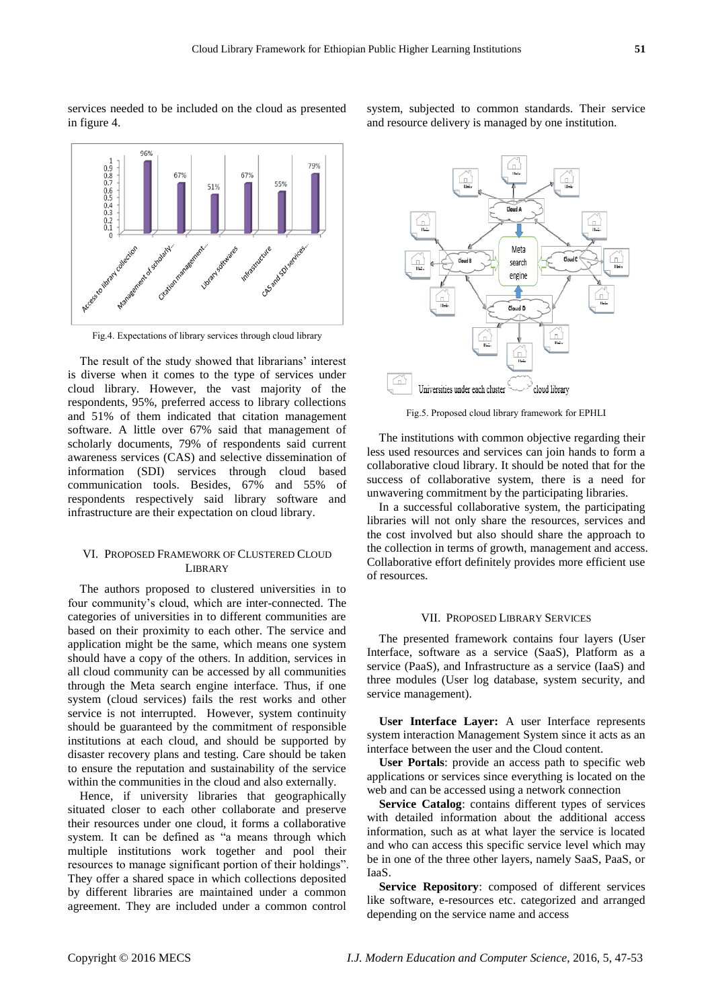services needed to be included on the cloud as presented in figure 4.



Fig.4. Expectations of library services through cloud library

The result of the study showed that librarians' interest is diverse when it comes to the type of services under cloud library. However, the vast majority of the respondents, 95%, preferred access to library collections and 51% of them indicated that citation management software. A little over 67% said that management of scholarly documents, 79% of respondents said current awareness services (CAS) and selective dissemination of information (SDI) services through cloud based communication tools. Besides, 67% and 55% of respondents respectively said library software and infrastructure are their expectation on cloud library.

## VI. PROPOSED FRAMEWORK OF CLUSTERED CLOUD **LIBRARY**

The authors proposed to clustered universities in to four community's cloud, which are inter-connected. The categories of universities in to different communities are based on their proximity to each other. The service and application might be the same, which means one system should have a copy of the others. In addition, services in all cloud community can be accessed by all communities through the Meta search engine interface. Thus, if one system (cloud services) fails the rest works and other service is not interrupted. However, system continuity should be guaranteed by the commitment of responsible institutions at each cloud, and should be supported by disaster recovery plans and testing. Care should be taken to ensure the reputation and sustainability of the service within the communities in the cloud and also externally.

Hence, if university libraries that geographically situated closer to each other collaborate and preserve their resources under one cloud, it forms a collaborative system. It can be defined as "a means through which multiple institutions work together and pool their resources to manage significant portion of their holdings". They offer a shared space in which collections deposited by different libraries are maintained under a common agreement. They are included under a common control system, subjected to common standards. Their service and resource delivery is managed by one institution.



Fig.5. Proposed cloud library framework for EPHLI

The institutions with common objective regarding their less used resources and services can join hands to form a collaborative cloud library. It should be noted that for the success of collaborative system, there is a need for unwavering commitment by the participating libraries.

In a successful collaborative system, the participating libraries will not only share the resources, services and the cost involved but also should share the approach to the collection in terms of growth, management and access. Collaborative effort definitely provides more efficient use of resources.

#### VII. PROPOSED LIBRARY SERVICES

The presented framework contains four layers (User Interface, software as a service (SaaS), Platform as a service (PaaS), and Infrastructure as a service (IaaS) and three modules (User log database, system security, and service management).

**User Interface Layer:** A user Interface represents system interaction Management System since it acts as an interface between the user and the Cloud content.

**User Portals**: provide an access path to specific web applications or services since everything is located on the web and can be accessed using a network connection

**Service Catalog**: contains different types of services with detailed information about the additional access information, such as at what layer the service is located and who can access this specific service level which may be in one of the three other layers, namely SaaS, PaaS, or IaaS.

**Service Repository**: composed of different services like software, e-resources etc. categorized and arranged depending on the service name and access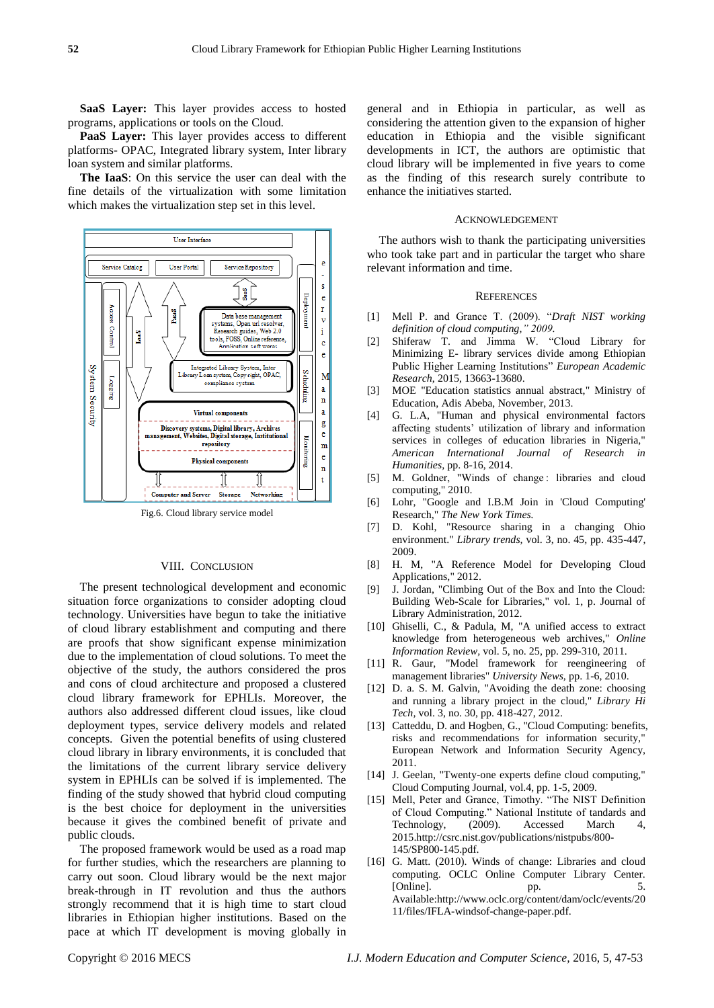**SaaS Layer:** This layer provides access to hosted programs, applications or tools on the Cloud.

**PaaS Layer:** This layer provides access to different platforms- OPAC, Integrated library system, Inter library loan system and similar platforms.

**The IaaS**: On this service the user can deal with the fine details of the virtualization with some limitation which makes the virtualization step set in this level.



Fig.6. Cloud library service model

#### VIII. CONCLUSION

The present technological development and economic situation force organizations to consider adopting cloud technology. Universities have begun to take the initiative of cloud library establishment and computing and there are proofs that show significant expense minimization due to the implementation of cloud solutions. To meet the objective of the study, the authors considered the pros and cons of cloud architecture and proposed a clustered cloud library framework for EPHLIs. Moreover, the authors also addressed different cloud issues, like cloud deployment types, service delivery models and related concepts. Given the potential benefits of using clustered cloud library in library environments, it is concluded that the limitations of the current library service delivery system in EPHLIs can be solved if is implemented. The finding of the study showed that hybrid cloud computing is the best choice for deployment in the universities because it gives the combined benefit of private and public clouds.

The proposed framework would be used as a road map for further studies, which the researchers are planning to carry out soon. Cloud library would be the next major break-through in IT revolution and thus the authors strongly recommend that it is high time to start cloud libraries in Ethiopian higher institutions. Based on the pace at which IT development is moving globally in general and in Ethiopia in particular, as well as considering the attention given to the expansion of higher education in Ethiopia and the visible significant developments in ICT, the authors are optimistic that cloud library will be implemented in five years to come as the finding of this research surely contribute to enhance the initiatives started.

#### ACKNOWLEDGEMENT

The authors wish to thank the participating universities who took take part and in particular the target who share relevant information and time.

## **REFERENCES**

- [1] Mell P. and Grance T. (2009). "*Draft NIST working definition of cloud computing," 2009.*
- [2] Shiferaw T. and Jimma W. "Cloud Library for Minimizing E- library services divide among Ethiopian Public Higher Learning Institutions" *European Academic Research*, 2015, 13663-13680.
- [3] MOE "Education statistics annual abstract," Ministry of Education, Adis Abeba, November, 2013.
- [4] G. L.A, "Human and physical environmental factors affecting students' utilization of library and information services in colleges of education libraries in Nigeria," *American International Journal of Research in Humanities,* pp. 8-16, 2014.
- [5] M. Goldner, "Winds of change: libraries and cloud computing," 2010.
- [6] Lohr, "Google and I.B.M Join in 'Cloud Computing' Research," *The New York Times.*
- [7] D. Kohl, "Resource sharing in a changing Ohio environment." *Library trends,* vol. 3, no. 45, pp. 435-447, 2009.
- [8] H. M, "A Reference Model for Developing Cloud Applications," 2012.
- [9] J. Jordan, "Climbing Out of the Box and Into the Cloud: Building Web-Scale for Libraries," vol. 1, p. Journal of Library Administration, 2012.
- [10] Ghiselli, C., & Padula, M, "A unified access to extract knowledge from heterogeneous web archives," *Online Information Review,* vol. 5, no. 25, pp. 299-310, 2011.
- [11] R. Gaur, "Model framework for reengineering of management libraries" *University News,* pp. 1-6, 2010.
- [12] D. a. S. M. Galvin, "Avoiding the death zone: choosing and running a library project in the cloud," *Library Hi Tech,* vol. 3, no. 30, pp. 418-427, 2012.
- [13] Catteddu, D. and Hogben, G., "Cloud Computing: benefits, risks and recommendations for information security," European Network and Information Security Agency, 2011.
- [14] J. Geelan, "Twenty-one experts define cloud computing," Cloud Computing Journal, vol.4, pp. 1-5, 2009.
- [15] Mell, Peter and Grance, Timothy. "The NIST Definition of Cloud Computing." National Institute of tandards and Technology, (2009). Accessed March 4, 2015.http://csrc.nist.gov/publications/nistpubs/800- 145/SP800-145.pdf.
- [16] G. Matt. (2010). Winds of change: Libraries and cloud computing. OCLC Online Computer Library Center. [Online]. pp. 5. Available:http://www.oclc.org/content/dam/oclc/events/20 11/files/IFLA-windsof-change-paper.pdf.